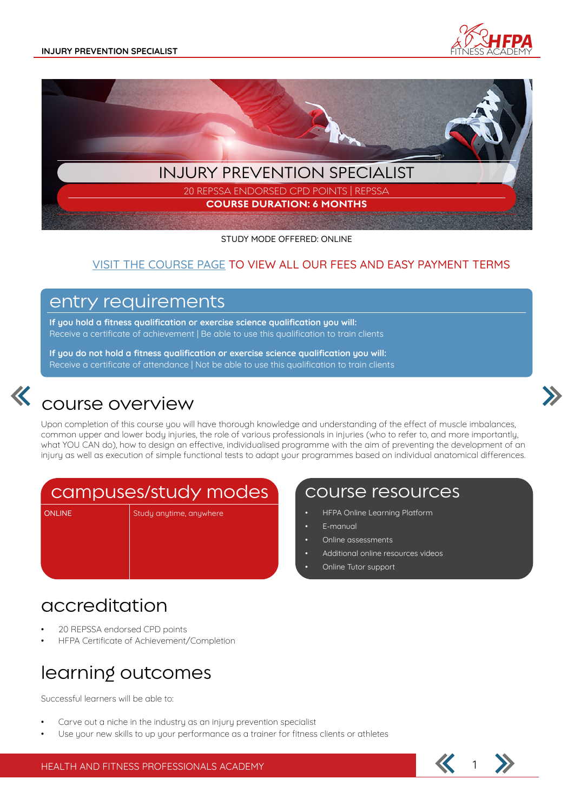



STUDY MODE OFFERED: ONLINE

#### VISIT THE COURSE PAGE TO VIEW ALL OUR FEES AND EASY PAYMENT TERMS

### entry requirements

**If you hold a fitness qualification or exercise science qualification you will:** Receive a certificate of achievement | Be able to use this qualification to train clients

**If you do not hold a fitness qualification or exercise science qualification you will:** Receive a certificate of attendance | Not be able to use this qualification to train clients



## course overview

Upon completion of this course you will have thorough knowledge and understanding of the effect of muscle imbalances, common upper and lower body injuries, the role of various professionals in injuries (who to refer to, and more importantly, what YOU CAN do), how to design an effective, individualised programme with the aim of preventing the development of an injury as well as execution of simple functional tests to adapt your programmes based on individual anatomical differences.

## campuses/study modes

ONLINE Study anytime, anywhere

### course resources

- HFPA Online Learning Platform
- E-manual
- Online assessments
- Additional online resources videos
- Online Tutor support

## accreditation

- 20 REPSSA endorsed CPD points
- HFPA Certificate of Achievement/Completion

# learning outcomes

Successful learners will be able to:

- Carve out a niche in the industry as an injury prevention specialist
- Use your new skills to up your performance as a trainer for fitness clients or athletes



HEALTH AND FITNESS PROFESSIONALS ACADEMY 1